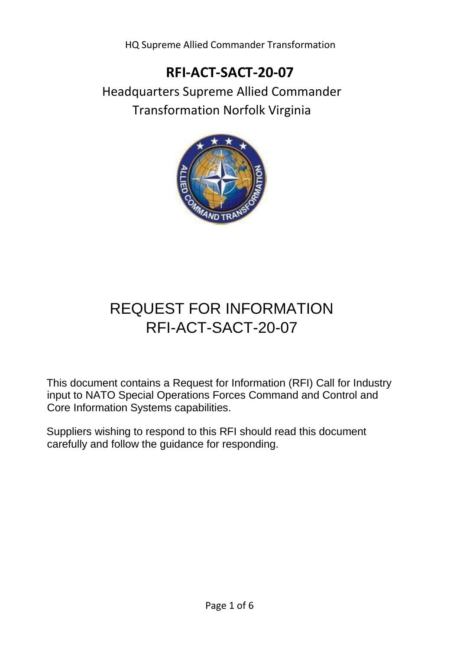HQ Supreme Allied Commander Transformation

## **RFI-ACT-SACT-20-07**

Headquarters Supreme Allied Commander Transformation Norfolk Virginia



# REQUEST FOR INFORMATION RFI-ACT-SACT-20-07

This document contains a Request for Information (RFI) Call for Industry input to NATO Special Operations Forces Command and Control and Core Information Systems capabilities.

Suppliers wishing to respond to this RFI should read this document carefully and follow the guidance for responding.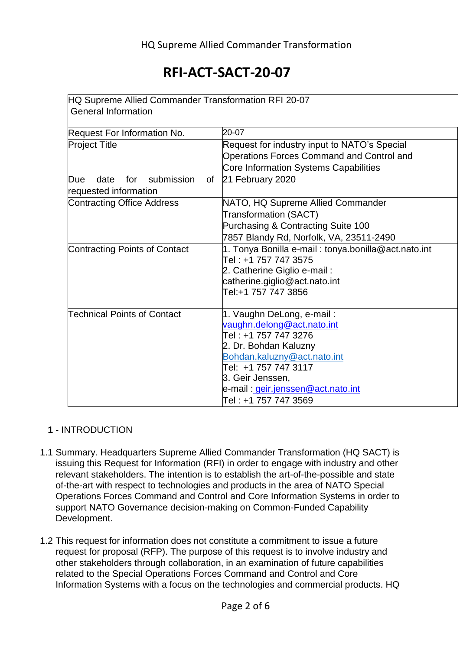| HQ Supreme Allied Commander Transformation RFI 20-07 |                                                     |
|------------------------------------------------------|-----------------------------------------------------|
| <b>General Information</b>                           |                                                     |
| Request For Information No.                          | 20-07                                               |
| <b>Project Title</b>                                 | Request for industry input to NATO's Special        |
|                                                      | <b>Operations Forces Command and Control and</b>    |
|                                                      | Core Information Systems Capabilities               |
| submission<br>for<br>of<br>Due<br>date               | 21 February 2020                                    |
| requested information                                |                                                     |
| <b>Contracting Office Address</b>                    | NATO, HQ Supreme Allied Commander                   |
|                                                      | <b>Transformation (SACT)</b>                        |
|                                                      | Purchasing & Contracting Suite 100                  |
|                                                      | 7857 Blandy Rd, Norfolk, VA, 23511-2490             |
| Contracting Points of Contact                        | 1. Tonya Bonilla e-mail: tonya.bonilla@act.nato.int |
|                                                      | Tel : +1 757 747 3575                               |
|                                                      | 2. Catherine Giglio e-mail:                         |
|                                                      | catherine.giglio@act.nato.int                       |
|                                                      | Tel:+1 757 747 3856                                 |
|                                                      |                                                     |
| <b>Technical Points of Contact</b>                   | 1. Vaughn DeLong, e-mail:                           |
|                                                      | vaughn.delong@act.nato.int                          |
|                                                      | Tel : +1 757 747 3276                               |
|                                                      | 2. Dr. Bohdan Kaluzny                               |
|                                                      | Bohdan.kaluzny@act.nato.int                         |
|                                                      | Tel: +1 757 747 3117                                |
|                                                      | 3. Geir Jenssen,                                    |
|                                                      | e-mail: <i>geir.jenssen@act.nato.int</i>            |
|                                                      | Tel : +1 757 747 3569                               |

#### **1** - INTRODUCTION

- 1.1 Summary. Headquarters Supreme Allied Commander Transformation (HQ SACT) is issuing this Request for Information (RFI) in order to engage with industry and other relevant stakeholders. The intention is to establish the art-of-the-possible and state of-the-art with respect to technologies and products in the area of NATO Special Operations Forces Command and Control and Core Information Systems in order to support NATO Governance decision-making on Common-Funded Capability Development.
- 1.2 This request for information does not constitute a commitment to issue a future request for proposal (RFP). The purpose of this request is to involve industry and other stakeholders through collaboration, in an examination of future capabilities related to the Special Operations Forces Command and Control and Core Information Systems with a focus on the technologies and commercial products. HQ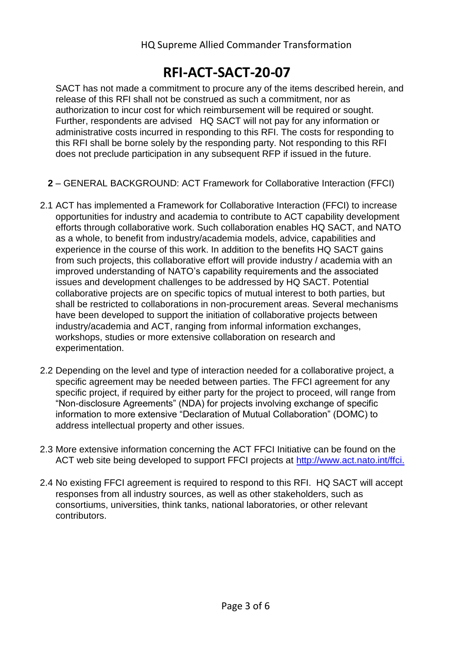SACT has not made a commitment to procure any of the items described herein, and release of this RFI shall not be construed as such a commitment, nor as authorization to incur cost for which reimbursement will be required or sought. Further, respondents are advised HQ SACT will not pay for any information or administrative costs incurred in responding to this RFI. The costs for responding to this RFI shall be borne solely by the responding party. Not responding to this RFI does not preclude participation in any subsequent RFP if issued in the future.

- **2** GENERAL BACKGROUND: ACT Framework for Collaborative Interaction (FFCI)
- 2.1 ACT has implemented a Framework for Collaborative Interaction (FFCI) to increase opportunities for industry and academia to contribute to ACT capability development efforts through collaborative work. Such collaboration enables HQ SACT, and NATO as a whole, to benefit from industry/academia models, advice, capabilities and experience in the course of this work. In addition to the benefits HQ SACT gains from such projects, this collaborative effort will provide industry / academia with an improved understanding of NATO's capability requirements and the associated issues and development challenges to be addressed by HQ SACT. Potential collaborative projects are on specific topics of mutual interest to both parties, but shall be restricted to collaborations in non-procurement areas. Several mechanisms have been developed to support the initiation of collaborative projects between industry/academia and ACT, ranging from informal information exchanges, workshops, studies or more extensive collaboration on research and experimentation.
- 2.2 Depending on the level and type of interaction needed for a collaborative project, a specific agreement may be needed between parties. The FFCI agreement for any specific project, if required by either party for the project to proceed, will range from "Non-disclosure Agreements" (NDA) for projects involving exchange of specific information to more extensive "Declaration of Mutual Collaboration" (DOMC) to address intellectual property and other issues.
- 2.3 More extensive information concerning the ACT FFCI Initiative can be found on the ACT web site being developed to support FFCI projects at<http://www.act.nato.int/ffci.>
- 2.4 No existing FFCI agreement is required to respond to this RFI. HQ SACT will accept responses from all industry sources, as well as other stakeholders, such as consortiums, universities, think tanks, national laboratories, or other relevant contributors.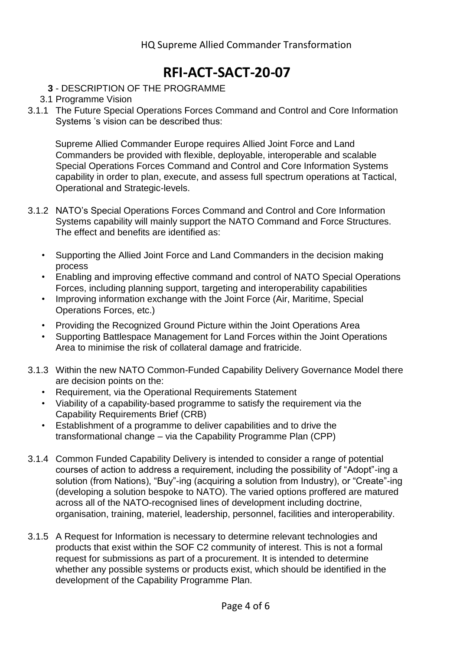#### **3** - DESCRIPTION OF THE PROGRAMME

- 3.1 Programme Vision
- 3.1.1 The Future Special Operations Forces Command and Control and Core Information Systems 's vision can be described thus:

Supreme Allied Commander Europe requires Allied Joint Force and Land Commanders be provided with flexible, deployable, interoperable and scalable Special Operations Forces Command and Control and Core Information Systems capability in order to plan, execute, and assess full spectrum operations at Tactical, Operational and Strategic-levels.

- 3.1.2 NATO's Special Operations Forces Command and Control and Core Information Systems capability will mainly support the NATO Command and Force Structures. The effect and benefits are identified as:
	- Supporting the Allied Joint Force and Land Commanders in the decision making process
	- Enabling and improving effective command and control of NATO Special Operations Forces, including planning support, targeting and interoperability capabilities
	- Improving information exchange with the Joint Force (Air, Maritime, Special Operations Forces, etc.)
	- Providing the Recognized Ground Picture within the Joint Operations Area
	- Supporting Battlespace Management for Land Forces within the Joint Operations Area to minimise the risk of collateral damage and fratricide.
- 3.1.3 Within the new NATO Common-Funded Capability Delivery Governance Model there are decision points on the:
	- Requirement, via the Operational Requirements Statement
	- Viability of a capability-based programme to satisfy the requirement via the Capability Requirements Brief (CRB)
	- Establishment of a programme to deliver capabilities and to drive the transformational change – via the Capability Programme Plan (CPP)
- 3.1.4 Common Funded Capability Delivery is intended to consider a range of potential courses of action to address a requirement, including the possibility of "Adopt"-ing a solution (from Nations), "Buy"-ing (acquiring a solution from Industry), or "Create"-ing (developing a solution bespoke to NATO). The varied options proffered are matured across all of the NATO-recognised lines of development including doctrine, organisation, training, materiel, leadership, personnel, facilities and interoperability.
- 3.1.5 A Request for Information is necessary to determine relevant technologies and products that exist within the SOF C2 community of interest. This is not a formal request for submissions as part of a procurement. It is intended to determine whether any possible systems or products exist, which should be identified in the development of the Capability Programme Plan.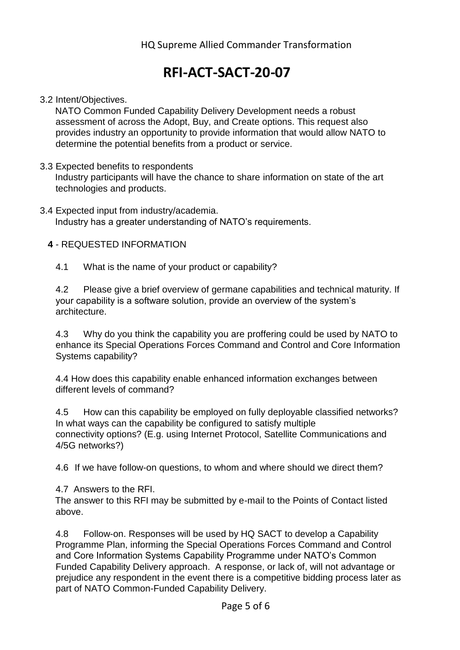#### 3.2 Intent/Objectives.

NATO Common Funded Capability Delivery Development needs a robust assessment of across the Adopt, Buy, and Create options. This request also provides industry an opportunity to provide information that would allow NATO to determine the potential benefits from a product or service.

3.3 Expected benefits to respondents

Industry participants will have the chance to share information on state of the art technologies and products.

3.4 Expected input from industry/academia. Industry has a greater understanding of NATO's requirements.

#### **4** - REQUESTED INFORMATION

4.1 What is the name of your product or capability?

4.2 Please give a brief overview of germane capabilities and technical maturity. If your capability is a software solution, provide an overview of the system's architecture.

4.3 Why do you think the capability you are proffering could be used by NATO to enhance its Special Operations Forces Command and Control and Core Information Systems capability?

4.4 How does this capability enable enhanced information exchanges between different levels of command?

4.5 How can this capability be employed on fully deployable classified networks? In what ways can the capability be configured to satisfy multiple connectivity options? (E.g. using Internet Protocol, Satellite Communications and 4/5G networks?)

4.6 If we have follow-on questions, to whom and where should we direct them?

4.7 Answers to the RFI.

The answer to this RFI may be submitted by e-mail to the Points of Contact listed above.

4.8 Follow-on. Responses will be used by HQ SACT to develop a Capability Programme Plan, informing the Special Operations Forces Command and Control and Core Information Systems Capability Programme under NATO's Common Funded Capability Delivery approach. A response, or lack of, will not advantage or prejudice any respondent in the event there is a competitive bidding process later as part of NATO Common-Funded Capability Delivery.